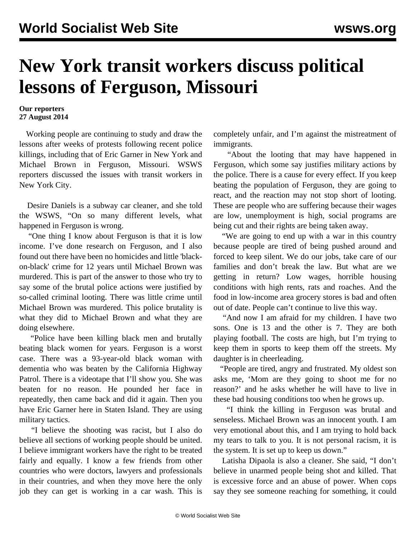## **New York transit workers discuss political lessons of Ferguson, Missouri**

## **Our reporters 27 August 2014**

 Working people are continuing to study and draw the lessons after weeks of protests following recent police killings, including that of Eric Garner in New York and Michael Brown in Ferguson, Missouri. WSWS reporters discussed the issues with transit workers in New York City.

 Desire Daniels is a subway car cleaner, and she told the WSWS, "On so many different levels, what happened in Ferguson is wrong.

 "One thing I know about Ferguson is that it is low income. I've done research on Ferguson, and I also found out there have been no homicides and little 'blackon-black' crime for 12 years until Michael Brown was murdered. This is part of the answer to those who try to say some of the brutal police actions were justified by so-called criminal looting. There was little crime until Michael Brown was murdered. This police brutality is what they did to Michael Brown and what they are doing elsewhere.

 "Police have been killing black men and brutally beating black women for years. Ferguson is a worst case. There was a 93-year-old black woman with dementia who was beaten by the California Highway Patrol. There is a videotape that I'll show you. She was beaten for no reason. He pounded her face in repeatedly, then came back and did it again. Then you have Eric Garner here in Staten Island. They are using military tactics.

 "I believe the shooting was racist, but I also do believe all sections of working people should be united. I believe immigrant workers have the right to be treated fairly and equally. I know a few friends from other countries who were doctors, lawyers and professionals in their countries, and when they move here the only job they can get is working in a car wash. This is

completely unfair, and I'm against the mistreatment of immigrants.

 "About the looting that may have happened in Ferguson, which some say justifies military actions by the police. There is a cause for every effect. If you keep beating the population of Ferguson, they are going to react, and the reaction may not stop short of looting. These are people who are suffering because their wages are low, unemployment is high, social programs are being cut and their rights are being taken away.

 "We are going to end up with a war in this country because people are tired of being pushed around and forced to keep silent. We do our jobs, take care of our families and don't break the law. But what are we getting in return? Low wages, horrible housing conditions with high rents, rats and roaches. And the food in low-income area grocery stores is bad and often out of date. People can't continue to live this way.

 "And now I am afraid for my children. I have two sons. One is 13 and the other is 7. They are both playing football. The costs are high, but I'm trying to keep them in sports to keep them off the streets. My daughter is in cheerleading.

 "People are tired, angry and frustrated. My oldest son asks me, 'Mom are they going to shoot me for no reason?' and he asks whether he will have to live in these bad housing conditions too when he grows up.

 "I think the killing in Ferguson was brutal and senseless. Michael Brown was an innocent youth. I am very emotional about this, and I am trying to hold back my tears to talk to you. It is not personal racism, it is the system. It is set up to keep us down."

 Latisha Dipaola is also a cleaner. She said, "I don't believe in unarmed people being shot and killed. That is excessive force and an abuse of power. When cops say they see someone reaching for something, it could